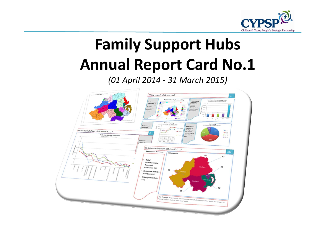

# **Family Support HubsAnnual Report Card No.1**

*(01 April 2014 - 31 March 2015)*

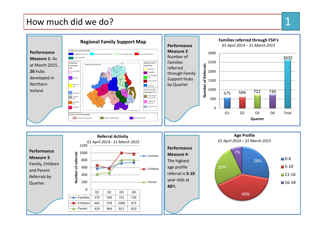#### How much did we do?

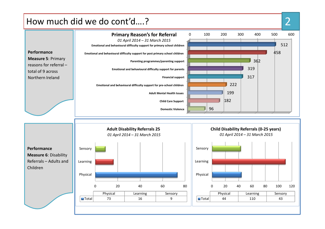



2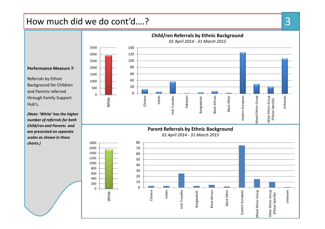## How much did we do cont'd….?



3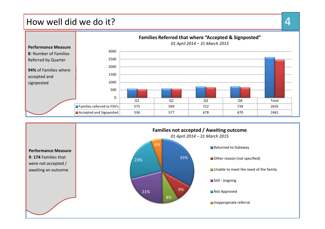#### How well did we do it?



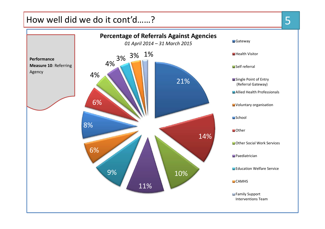## How well did we do it cont'd……?

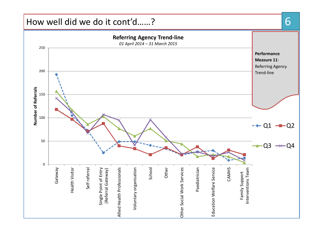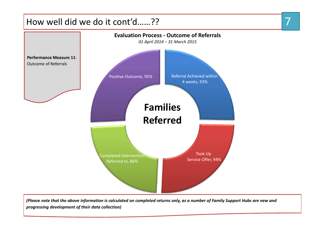## How well did we do it cont'd……??



*(Please note that the above information is calculated on completed returns only, as a number of Family Support Hubs are new and progressing development of their data collection)*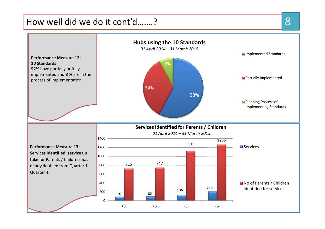## How well did we do it cont'd…….?

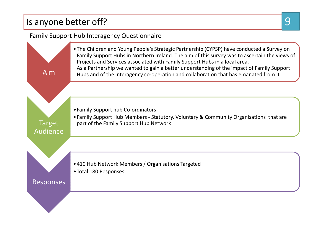## Is anyone better off?

#### Family Support Hub Interagency Questionnaire

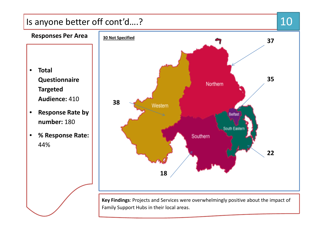## Is anyone better off cont'd….?



 $\bullet$  **Total Questionnaire Targeted Audience:** 410

**Responses Per Area**

- $\bullet$  **Response Rate by number:** 180
- $\bullet$  **% Response Rate:**  44%



**Key Findings**: Projects and Services were overwhelmingly positive about the impact of Family Support Hubs in their local areas.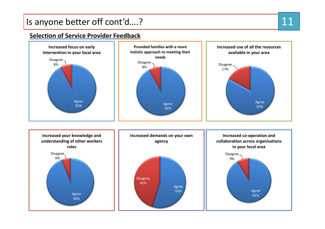## Is anyone better off cont'd….?

#### **Selection of Service Provider Feedback**